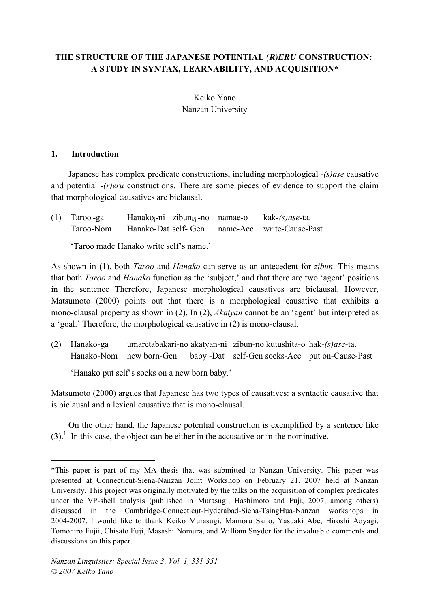# **THE STRUCTURE OF THE JAPANESE POTENTIAL** *(R)ERU* **CONSTRUCTION: A STUDY IN SYNTAX, LEARNABILITY, AND ACQUISITION\***

Keiko Yano Nanzan University

### **1. Introduction**

 $\overline{a}$ 

Japanese has complex predicate constructions, including morphological *-(s)ase* causative and potential *-(r)eru* constructions. There are some pieces of evidence to support the claim that morphological causatives are biclausal.

| $(1)$ Taroo <sub>i</sub> -ga | Hanako <sub>i</sub> -ni zibun <sub>i/i</sub> -no namae-o kak-(s) as e-ta. |  |
|------------------------------|---------------------------------------------------------------------------|--|
|                              | Taroo-Nom Hanako-Dat self- Gen name-Acc write-Cause-Past                  |  |

'Taroo made Hanako write self's name.'

As shown in (1), both *Taroo* and *Hanako* can serve as an antecedent for *zibun*. This means that both *Taroo* and *Hanako* function as the 'subject,' and that there are two 'agent' positions in the sentence Therefore, Japanese morphological causatives are biclausal. However, Matsumoto (2000) points out that there is a morphological causative that exhibits a mono-clausal property as shown in (2). In (2), *Akatyan* cannot be an 'agent' but interpreted as a 'goal.' Therefore, the morphological causative in (2) is mono-clausal.

(2) Hanako-ga umaretabakari-no akatyan-ni zibun-no kutushita-o hak-*(s)ase*-ta. Hanako-Nom new born-Gen baby -Dat self-Gen socks-Acc put on-Cause-Past

'Hanako put self's socks on a new born baby.'

Matsumoto (2000) argues that Japanese has two types of causatives: a syntactic causative that is biclausal and a lexical causative that is mono-clausal.

On the other hand, the Japanese potential construction is exemplified by a sentence like  $(3)$ .<sup>1</sup> In this case, the object can be either in the accusative or in the nominative.

<sup>\*</sup>This paper is part of my MA thesis that was submitted to Nanzan University. This paper was presented at Connecticut-Siena-Nanzan Joint Workshop on February 21, 2007 held at Nanzan University. This project was originally motivated by the talks on the acquisition of complex predicates under the VP-shell analysis (published in Murasugi, Hashimoto and Fuji, 2007, among others) discussed in the Cambridge-Connecticut-Hyderabad-Siena-TsingHua-Nanzan workshops in 2004-2007. I would like to thank Keiko Murasugi, Mamoru Saito, Yasuaki Abe, Hiroshi Aoyagi, Tomohiro Fujii, Chisato Fuji, Masashi Nomura, and William Snyder for the invaluable comments and discussions on this paper.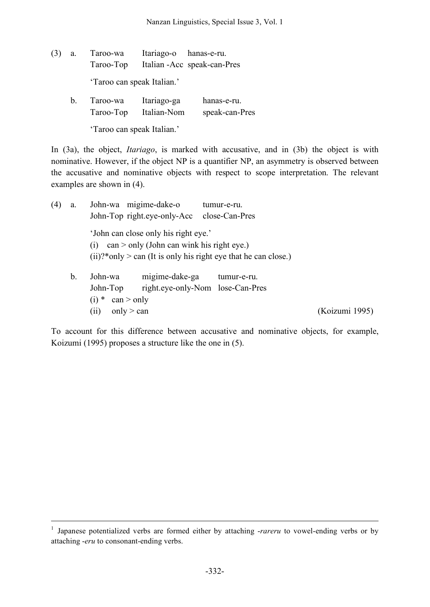- (3) a. Taroo-wa Itariago-o hanas-e-ru. Taroo-Top Italian -Acc speak-can-Pres 'Taroo can speak Italian.'
	- b. Taroo-wa Itariago-ga hanas-e-ru. Taroo-Top Italian-Nom speak-can-Pres 'Taroo can speak Italian.'

In (3a), the object, *Itariago*, is marked with accusative, and in (3b) the object is with nominative. However, if the object NP is a quantifier NP, an asymmetry is observed between the accusative and nominative objects with respect to scope interpretation. The relevant examples are shown in (4).

| (4) | a. | John-wa migime-dake-o                                             | tumur-e-ru.                      |                |
|-----|----|-------------------------------------------------------------------|----------------------------------|----------------|
|     |    | John-Top right.eye-only-Acc                                       | close-Can-Pres                   |                |
|     |    | 'John can close only his right eye.'                              |                                  |                |
|     |    | $\text{can} > \text{only}$ (John can wink his right eye.)<br>(1)  |                                  |                |
|     |    | $(ii)?* only > can (It is only his right eye that he can close.)$ |                                  |                |
|     | b. | migime-dake-ga<br>John-wa                                         | tumur-e-ru.                      |                |
|     |    | John-Top                                                          | right.eye-only-Nom lose-Can-Pres |                |
|     |    | can > only<br>$(i) *$                                             |                                  |                |
|     |    | only $>$ can<br>(i)                                               |                                  | (Koizumi 1995) |

To account for this difference between accusative and nominative objects, for example, Koizumi (1995) proposes a structure like the one in (5).

<sup>&</sup>lt;sup>1</sup> Japanese potentialized verbs are formed either by attaching -*rareru* to vowel-ending verbs or by attaching -*eru* to consonant-ending verbs.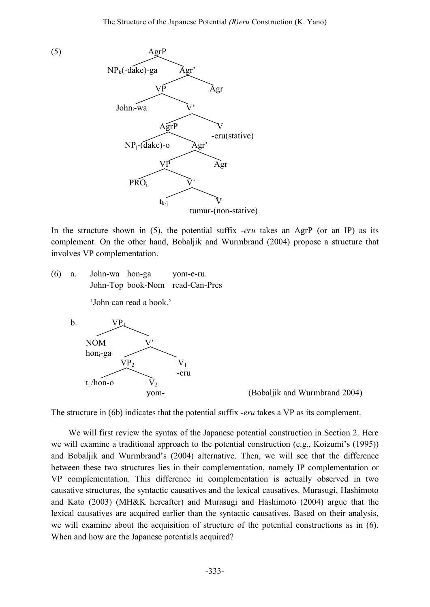

In the structure shown in (5), the potential suffix *-eru* takes an AgrP (or an IP) as its complement. On the other hand, Bobaljik and Wurmbrand (2004) propose a structure that involves VP complementation.

(6) a. John-wa hon-ga yom-e-ru. John-Top book-Nom read-Can-Pres 'John can read a book.'



yom- (Bobaljik and Wurmbrand 2004)

The structure in (6b) indicates that the potential suffix *-eru* takes a VP as its complement.

We will first review the syntax of the Japanese potential construction in Section 2. Here we will examine a traditional approach to the potential construction (e.g., Koizumi's (1995)) and Bobaljik and Wurmbrand's (2004) alternative. Then, we will see that the difference between these two structures lies in their complementation, namely IP complementation or VP complementation. This difference in complementation is actually observed in two causative structures, the syntactic causatives and the lexical causatives. Murasugi, Hashimoto and Kato (2003) (MH&K hereafter) and Murasugi and Hashimoto (2004) argue that the lexical causatives are acquired earlier than the syntactic causatives. Based on their analysis, we will examine about the acquisition of structure of the potential constructions as in (6). When and how are the Japanese potentials acquired?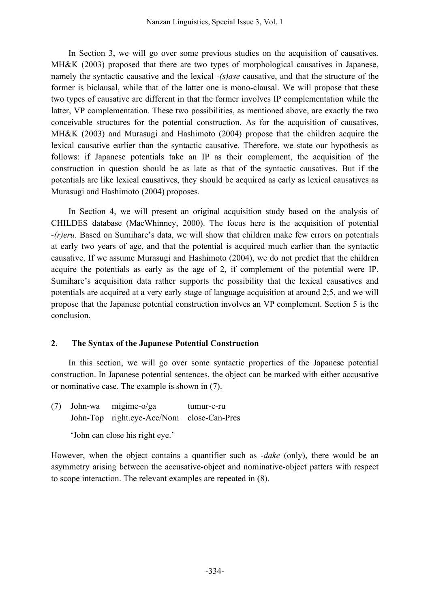In Section 3, we will go over some previous studies on the acquisition of causatives. MH&K (2003) proposed that there are two types of morphological causatives in Japanese, namely the syntactic causative and the lexical *-(s)ase* causative, and that the structure of the former is biclausal, while that of the latter one is mono-clausal. We will propose that these two types of causative are different in that the former involves IP complementation while the latter, VP complementation. These two possibilities, as mentioned above, are exactly the two conceivable structures for the potential construction. As for the acquisition of causatives, MH&K (2003) and Murasugi and Hashimoto (2004) propose that the children acquire the lexical causative earlier than the syntactic causative. Therefore, we state our hypothesis as follows: if Japanese potentials take an IP as their complement, the acquisition of the construction in question should be as late as that of the syntactic causatives. But if the potentials are like lexical causatives, they should be acquired as early as lexical causatives as Murasugi and Hashimoto (2004) proposes.

In Section 4, we will present an original acquisition study based on the analysis of CHILDES database (MacWhinney, 2000). The focus here is the acquisition of potential *-(r)eru*. Based on Sumihare's data, we will show that children make few errors on potentials at early two years of age, and that the potential is acquired much earlier than the syntactic causative. If we assume Murasugi and Hashimoto (2004), we do not predict that the children acquire the potentials as early as the age of 2, if complement of the potential were IP. Sumihare's acquisition data rather supports the possibility that the lexical causatives and potentials are acquired at a very early stage of language acquisition at around 2;5, and we will propose that the Japanese potential construction involves an VP complement. Section 5 is the conclusion.

## **2. The Syntax of the Japanese Potential Construction**

In this section, we will go over some syntactic properties of the Japanese potential construction. In Japanese potential sentences, the object can be marked with either accusative or nominative case. The example is shown in (7).

(7) John-wa migime-o/ga tumur-e-ru John-Top right.eye-Acc/Nom close-Can-Pres

'John can close his right eye.'

However, when the object contains a quantifier such as *-dake* (only), there would be an asymmetry arising between the accusative-object and nominative-object patters with respect to scope interaction. The relevant examples are repeated in (8).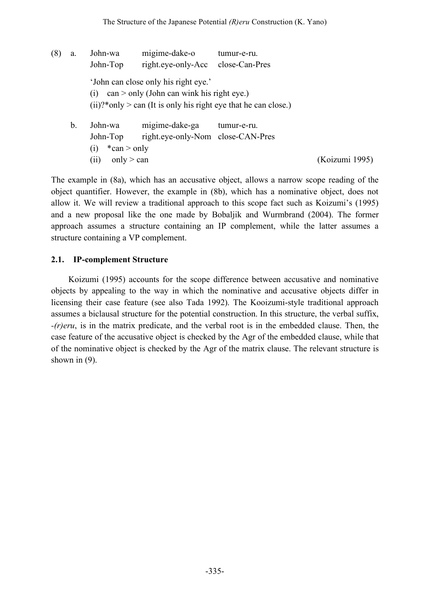| (8) | a. | John-wa<br>John-Top                                      | migime-dake-o<br>right.eye-only-Acc                                                               | tumur-e-ru.<br>close-Can-Pres                                    |
|-----|----|----------------------------------------------------------|---------------------------------------------------------------------------------------------------|------------------------------------------------------------------|
|     |    | (1)                                                      | 'John can close only his right eye.'<br>$\text{can} > \text{only}$ (John can wink his right eye.) | $(ii)?*only > can (It is only his right eye that he can close.)$ |
|     | b. | John-wa<br>John-Top<br>$*can > only$<br>$\left(1\right)$ | migime-dake-ga<br>right.eye-only-Nom close-CAN-Pres                                               | tumur-e-ru.                                                      |

(ii) only > can (Koizumi 1995)

The example in (8a), which has an accusative object, allows a narrow scope reading of the object quantifier. However, the example in (8b), which has a nominative object, does not allow it. We will review a traditional approach to this scope fact such as Koizumi's (1995) and a new proposal like the one made by Bobaljik and Wurmbrand (2004). The former approach assumes a structure containing an IP complement, while the latter assumes a structure containing a VP complement.

### **2.1. IP-complement Structure**

Koizumi (1995) accounts for the scope difference between accusative and nominative objects by appealing to the way in which the nominative and accusative objects differ in licensing their case feature (see also Tada 1992). The Kooizumi-style traditional approach assumes a biclausal structure for the potential construction. In this structure, the verbal suffix, *-(r)eru*, is in the matrix predicate, and the verbal root is in the embedded clause. Then, the case feature of the accusative object is checked by the Agr of the embedded clause, while that of the nominative object is checked by the Agr of the matrix clause. The relevant structure is shown in  $(9)$ .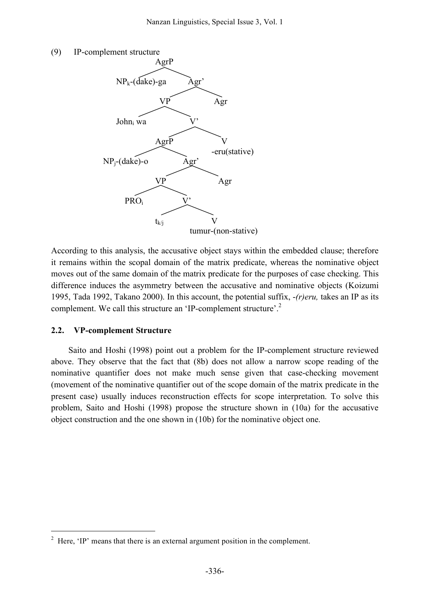



According to this analysis, the accusative object stays within the embedded clause; therefore it remains within the scopal domain of the matrix predicate, whereas the nominative object moves out of the same domain of the matrix predicate for the purposes of case checking. This difference induces the asymmetry between the accusative and nominative objects (Koizumi 1995, Tada 1992, Takano 2000). In this account, the potential suffix, -*(r)eru,* takes an IP as its complement. We call this structure an 'IP-complement structure'. 2

#### **2.2. VP-complement Structure**

Saito and Hoshi (1998) point out a problem for the IP-complement structure reviewed above. They observe that the fact that (8b) does not allow a narrow scope reading of the nominative quantifier does not make much sense given that case-checking movement (movement of the nominative quantifier out of the scope domain of the matrix predicate in the present case) usually induces reconstruction effects for scope interpretation. To solve this problem, Saito and Hoshi (1998) propose the structure shown in (10a) for the accusative object construction and the one shown in (10b) for the nominative object one.

<sup>&</sup>lt;sup>2</sup> Here, 'IP' means that there is an external argument position in the complement.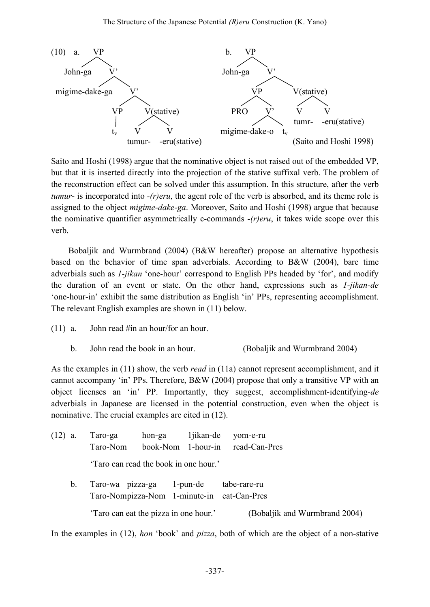

Saito and Hoshi (1998) argue that the nominative object is not raised out of the embedded VP, but that it is inserted directly into the projection of the stative suffixal verb. The problem of the reconstruction effect can be solved under this assumption. In this structure, after the verb *tumur*- is incorporated into *-(r)eru*, the agent role of the verb is absorbed, and its theme role is assigned to the object *migime-dake-ga*. Moreover, Saito and Hoshi (1998) argue that because the nominative quantifier asymmetrically c-commands -*(r)eru*, it takes wide scope over this verb.

Bobaljik and Wurmbrand (2004) (B&W hereafter) propose an alternative hypothesis based on the behavior of time span adverbials. According to B&W (2004), bare time adverbials such as *1-jikan* 'one-hour' correspond to English PPs headed by 'for', and modify the duration of an event or state. On the other hand, expressions such as *1-jikan-de* 'one-hour-in' exhibit the same distribution as English 'in' PPs, representing accomplishment. The relevant English examples are shown in (11) below.

- (11) a. John read #in an hour/for an hour.
	- b. John read the book in an hour. (Bobaljik and Wurmbrand 2004)

As the examples in (11) show, the verb *read* in (11a) cannot represent accomplishment, and it cannot accompany 'in' PPs. Therefore, B&W (2004) propose that only a transitive VP with an object licenses an 'in' PP. Importantly, they suggest, accomplishment-identifying*-de* adverbials in Japanese are licensed in the potential construction, even when the object is nominative. The crucial examples are cited in (12).

| $(12)$ a.   | Taro-ga                                                                 | hon-ga | 1 jikan-de | yom-e-ru                         |
|-------------|-------------------------------------------------------------------------|--------|------------|----------------------------------|
|             | Taro-Nom                                                                |        |            | book-Nom 1-hour-in read-Can-Pres |
|             | 'Taro can read the book in one hour.'                                   |        |            |                                  |
| $b_{\cdot}$ | Taro-wa pizza-ga 1-pun-de<br>Taro-Nompizza-Nom 1-minute-in eat-Can-Pres |        |            | tabe-rare-ru                     |
|             | 'Taro can eat the pizza in one hour.'                                   |        |            | (Bobaljik and Wurmbrand 2004)    |

In the examples in (12), *hon* 'book' and *pizza*, both of which are the object of a non-stative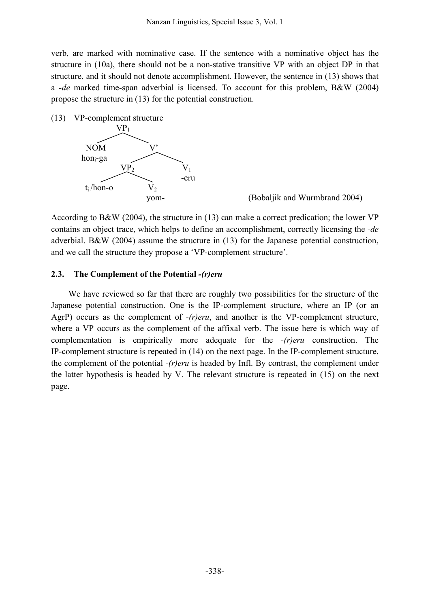verb, are marked with nominative case. If the sentence with a nominative object has the structure in (10a), there should not be a non-stative transitive VP with an object DP in that structure, and it should not denote accomplishment. However, the sentence in (13) shows that a *-de* marked time-span adverbial is licensed. To account for this problem, B&W (2004) propose the structure in (13) for the potential construction.

(13) VP-complement structure



yom- (Bobaljik and Wurmbrand 2004)

According to B&W (2004), the structure in (13) can make a correct predication; the lower VP contains an object trace, which helps to define an accomplishment, correctly licensing the *-de* adverbial. B&W (2004) assume the structure in (13) for the Japanese potential construction, and we call the structure they propose a 'VP-complement structure'.

#### **2.3. The Complement of the Potential** *-(r)eru*

We have reviewed so far that there are roughly two possibilities for the structure of the Japanese potential construction. One is the IP-complement structure, where an IP (or an AgrP) occurs as the complement of *-(r)eru*, and another is the VP-complement structure, where a VP occurs as the complement of the affixal verb. The issue here is which way of complementation is empirically more adequate for the *-(r)eru* construction. The IP-complement structure is repeated in (14) on the next page. In the IP-complement structure, the complement of the potential *-(r)eru* is headed by Infl. By contrast, the complement under the latter hypothesis is headed by V. The relevant structure is repeated in (15) on the next page.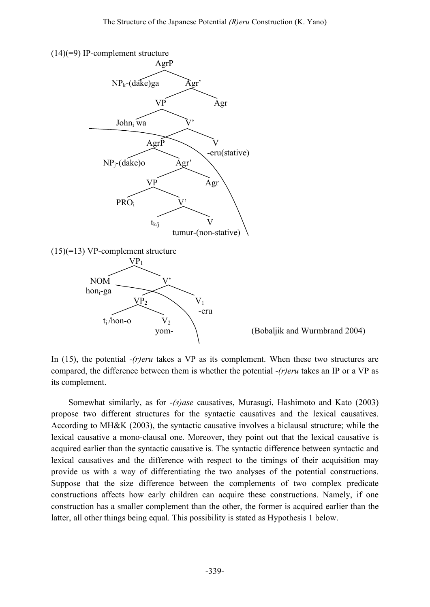

In (15), the potential *-(r)eru* takes a VP as its complement. When these two structures are compared, the difference between them is whether the potential *-(r)eru* takes an IP or a VP as its complement.

Somewhat similarly, as for *-(s)ase* causatives, Murasugi, Hashimoto and Kato (2003) propose two different structures for the syntactic causatives and the lexical causatives. According to MH&K (2003), the syntactic causative involves a biclausal structure; while the lexical causative a mono-clausal one. Moreover, they point out that the lexical causative is acquired earlier than the syntactic causative is. The syntactic difference between syntactic and lexical causatives and the difference with respect to the timings of their acquisition may provide us with a way of differentiating the two analyses of the potential constructions. Suppose that the size difference between the complements of two complex predicate constructions affects how early children can acquire these constructions. Namely, if one construction has a smaller complement than the other, the former is acquired earlier than the latter, all other things being equal. This possibility is stated as Hypothesis 1 below.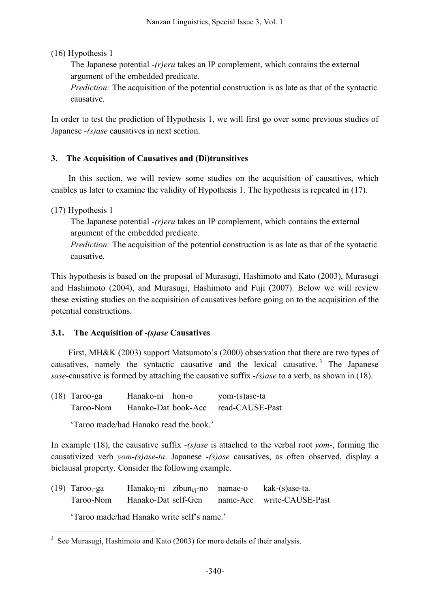(16) Hypothesis 1

The Japanese potential *-(r)eru* takes an IP complement, which contains the external argument of the embedded predicate.

*Prediction:* The acquisition of the potential construction is as late as that of the syntactic causative.

In order to test the prediction of Hypothesis 1, we will first go over some previous studies of Japanese *-(s)ase* causatives in next section.

# **3. The Acquisition of Causatives and (Di)transitives**

In this section, we will review some studies on the acquisition of causatives, which enables us later to examine the validity of Hypothesis 1. The hypothesis is repeated in (17).

## (17) Hypothesis 1

The Japanese potential *-(r)eru* takes an IP complement, which contains the external argument of the embedded predicate.

*Prediction:* The acquisition of the potential construction is as late as that of the syntactic causative.

This hypothesis is based on the proposal of Murasugi, Hashimoto and Kato (2003), Murasugi and Hashimoto (2004), and Murasugi, Hashimoto and Fuji (2007). Below we will review these existing studies on the acquisition of causatives before going on to the acquisition of the potential constructions.

## **3.1. The Acquisition of** *-(s)ase* **Causatives**

First, MH&K (2003) support Matsumoto's (2000) observation that there are two types of causatives, namely the syntactic causative and the lexical causative. <sup>3</sup> The Japanese *sase*-causative is formed by attaching the causative suffix *-(s)ase* to a verb, as shown in (18).

| $(18)$ Taroo-ga | Hanako-ni hon-o     | yom-(s)ase-ta   |
|-----------------|---------------------|-----------------|
| Taroo-Nom       | Hanako-Dat book-Acc | read-CAUSE-Past |

'Taroo made/had Hanako read the book.'

In example (18), the causative suffix *-(s)ase* is attached to the verbal root *yom*-, forming the causativized verb *yom-(s)ase-ta*. Japanese *-(s)ase* causatives, as often observed, display a biclausal property. Consider the following example.

(19)  $Taroo<sub>i</sub>-ga$  Hanako<sub>i</sub>-ni zibun<sub>i/i</sub>-no namae-o kak-(s)ase-ta. Taroo-Nom Hanako-Dat self-Gen name-Acc write-CAUSE-Past

'Taroo made/had Hanako write self's name.'

<sup>&</sup>lt;sup>3</sup> See Murasugi, Hashimoto and Kato (2003) for more details of their analysis.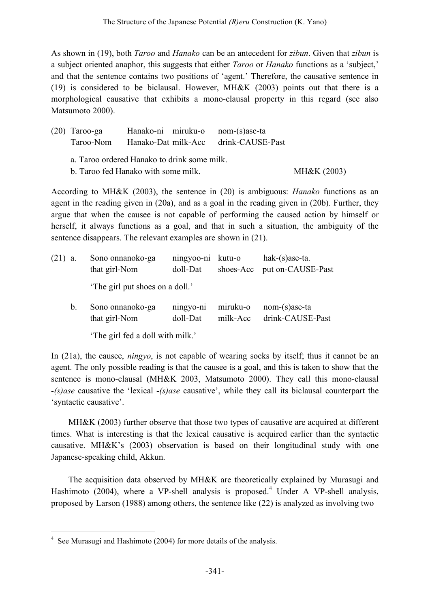As shown in (19), both *Taroo* and *Hanako* can be an antecedent for *zibun*. Given that *zibun* is a subject oriented anaphor, this suggests that either *Taroo* or *Hanako* functions as a 'subject,' and that the sentence contains two positions of 'agent.' Therefore, the causative sentence in (19) is considered to be biclausal. However, MH&K (2003) points out that there is a morphological causative that exhibits a mono-clausal property in this regard (see also Matsumoto 2000).

| $(20)$ Taroo-ga | Hanako-ni miruku-o  | $nom-(s)$ ase-ta |
|-----------------|---------------------|------------------|
| Taroo-Nom       | Hanako-Dat milk-Acc | drink-CAUSE-Past |

- a. Taroo ordered Hanako to drink some milk.
- b. Taroo fed Hanako with some milk. MH&K (2003)

According to MH&K (2003), the sentence in (20) is ambiguous: *Hanako* functions as an agent in the reading given in (20a), and as a goal in the reading given in (20b). Further, they argue that when the causee is not capable of performing the caused action by himself or herself, it always functions as a goal, and that in such a situation, the ambiguity of the sentence disappears. The relevant examples are shown in (21).

| $(21)$ a.   | Sono onnanoko-ga<br>that girl-Nom | ningyoo-ni kutu-o<br>doll-Dat | shoes-Acc            | $hak-(s)$ ase-ta.<br>put on-CAUSE-Past |
|-------------|-----------------------------------|-------------------------------|----------------------|----------------------------------------|
|             | 'The girl put shoes on a doll.'   |                               |                      |                                        |
| $b_{\cdot}$ | Sono onnanoko-ga<br>that girl-Nom | ningyo-ni<br>doll-Dat         | miruku-o<br>milk-Acc | $nom-(s)$ ase-ta<br>drink-CAUSE-Past   |

'The girl fed a doll with milk.'

In (21a), the causee, *ningyo*, is not capable of wearing socks by itself; thus it cannot be an agent. The only possible reading is that the causee is a goal, and this is taken to show that the sentence is mono-clausal (MH&K 2003, Matsumoto 2000). They call this mono-clausal *-(s)ase* causative the 'lexical *-(s)ase* causative', while they call its biclausal counterpart the 'syntactic causative'.

MH&K (2003) further observe that those two types of causative are acquired at different times. What is interesting is that the lexical causative is acquired earlier than the syntactic causative. MH&K's (2003) observation is based on their longitudinal study with one Japanese-speaking child, Akkun.

The acquisition data observed by MH&K are theoretically explained by Murasugi and Hashimoto (2004), where a VP-shell analysis is proposed.<sup>4</sup> Under A VP-shell analysis, proposed by Larson (1988) among others, the sentence like (22) is analyzed as involving two

 <sup>4</sup> See Murasugi and Hashimoto (2004) for more details of the analysis.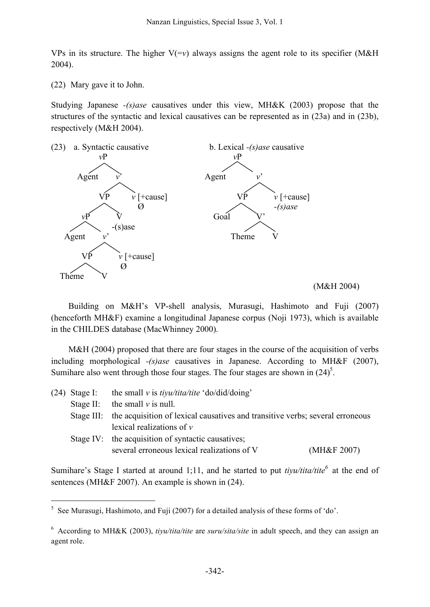VPs in its structure. The higher  $V(-v)$  always assigns the agent role to its specifier (M&H) 2004).

(22) Mary gave it to John.

Studying Japanese *-(s)ase* causatives under this view, MH&K (2003) propose that the structures of the syntactic and lexical causatives can be represented as in (23a) and in (23b), respectively (M&H 2004).



#### (M&H 2004)

Building on M&H's VP-shell analysis, Murasugi, Hashimoto and Fuji (2007) (henceforth MH&F) examine a longitudinal Japanese corpus (Noji 1973), which is available in the CHILDES database (MacWhinney 2000).

M&H (2004) proposed that there are four stages in the course of the acquisition of verbs including morphological *-(s)ase* causatives in Japanese. According to MH&F (2007), Sumihare also went through those four stages. The four stages are shown in  $(24)^5$ .

|  | (24) Stage I: the small v is $t$ <i>iyu/tita/tite</i> 'do/did/doing'                     |
|--|------------------------------------------------------------------------------------------|
|  | Stage II: the small $\nu$ is null.                                                       |
|  | Stage III: the acquisition of lexical causatives and transitive verbs; several erroneous |
|  | lexical realizations of $\nu$                                                            |
|  | Stage IV: the acquisition of syntactic causatives;                                       |
|  | several erroneous lexical realizations of V<br>(MH&F 2007)                               |
|  |                                                                                          |

Sumihare's Stage I started at around 1;11, and he started to put *tiyu/tita/tite <sup>6</sup>* at the end of sentences (MH&F 2007). An example is shown in (24).

 $5$  See Murasugi, Hashimoto, and Fuji (2007) for a detailed analysis of these forms of 'do'.

<sup>6</sup> According to MH&K (2003), *tiyu/tita/tite* are *suru/sita/site* in adult speech, and they can assign an agent role.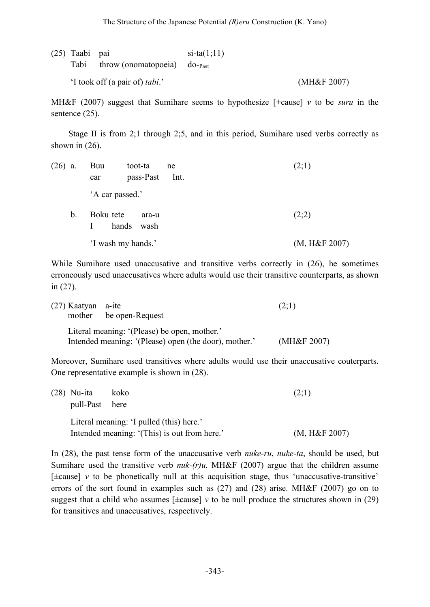| (25) Taabi pai |                                                | $si$ -ta $(1;11)$ |                |
|----------------|------------------------------------------------|-------------------|----------------|
|                | Tabi throw (onomatopoeia) do- $_{\text{past}}$ |                   |                |
|                | 'I took off (a pair of) <i>tabi</i> .'         |                   | (MH&F $2007$ ) |

MH&F (2007) suggest that Sumihare seems to hypothesize [+cause] *v* to be *suru* in the sentence  $(25)$ .

Stage II is from 2;1 through 2;5, and in this period, Sumihare used verbs correctly as shown in  $(26)$ .

| $(26)$ a.     | Buu<br>toot-ta<br>pass-Past<br>car  | ne<br>Int. | (2;1)         |
|---------------|-------------------------------------|------------|---------------|
|               | 'A car passed.'                     |            |               |
| $\mathbf b$ . | Boku tete<br>ara-u<br>hands<br>wash |            | (2;2)         |
|               | 'I wash my hands.'                  |            | (M, H&F 2007) |

While Sumihare used unaccusative and transitive verbs correctly in (26), he sometimes erroneously used unaccusatives where adults would use their transitive counterparts, as shown in (27).

| $(27)$ Kaatyan a-ite |                                                       | (2;1)       |
|----------------------|-------------------------------------------------------|-------------|
|                      | mother be open-Request                                |             |
|                      | Literal meaning: '(Please) be open, mother.'          |             |
|                      | Intended meaning: '(Please) open (the door), mother.' | (MH&F 2007) |

Moreover, Sumihare used transitives where adults would use their unaccusative couterparts. One representative example is shown in (28).

| $(28)$ Nu-ita                            | koko                                         | (2;1)         |
|------------------------------------------|----------------------------------------------|---------------|
| pull-Past here                           |                                              |               |
| Literal meaning: 'I pulled (this) here.' |                                              |               |
|                                          | Intended meaning: '(This) is out from here.' | (M, H&F 2007) |

In (28), the past tense form of the unaccusative verb *nuke-ru*, *nuke-ta*, should be used, but Sumihare used the transitive verb *nuk-(r)u*. MH&F (2007) argue that the children assume  $[\pm \text{cause}]$  *v* to be phonetically null at this acquisition stage, thus 'unaccusative-transitive' errors of the sort found in examples such as (27) and (28) arise. MH&F (2007) go on to suggest that a child who assumes  $[\pm \text{cause}]$  *v* to be null produce the structures shown in (29) for transitives and unaccusatives, respectively.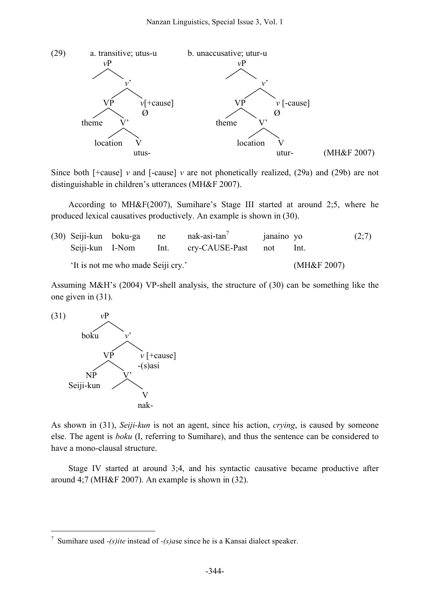

Since both  $\lceil$ +cause $\rceil$  *v* and  $\lceil$ -cause $\rceil$  *v* are not phonetically realized, (29a) and (29b) are not distinguishable in children's utterances (MH&F 2007).

According to MH&F(2007), Sumihare's Stage III started at around 2;5, where he produced lexical causatives productively. An example is shown in (30).

|                                    | (30) Seiji-kun boku-ga ne |  | $nak-axis-tan'$                     | janaino yo |             | (2;7) |
|------------------------------------|---------------------------|--|-------------------------------------|------------|-------------|-------|
|                                    |                           |  | Seiji-kun I-Nom Int. cry-CAUSE-Past | not        | Int.        |       |
| 'It is not me who made Seiji cry.' |                           |  |                                     |            | (MH&F 2007) |       |

Assuming M&H's (2004) VP-shell analysis, the structure of (30) can be something like the one given in (31).



As shown in (31), *Seiji-kun* is not an agent, since his action, *crying*, is caused by someone else. The agent is *boku* (I, referring to Sumihare), and thus the sentence can be considered to have a mono-clausal structure.

Stage IV started at around 3;4, and his syntactic causative became productive after around 4;7 (MH&F 2007). An example is shown in (32).

 <sup>7</sup> Sumihare used *-(s)ite* instead of *-(s)a*se since he is <sup>a</sup> Kansai dialect speaker.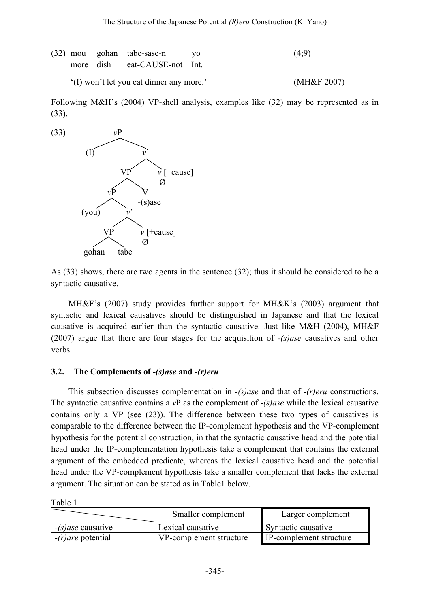|                                          |  | (32) mou gohan tabe-sase-n yo | (4:9)          |
|------------------------------------------|--|-------------------------------|----------------|
|                                          |  | more dish eat-CAUSE-not Int.  |                |
| '(I) won't let you eat dinner any more.' |  |                               | (MH&F $2007$ ) |

Following M&H's (2004) VP-shell analysis, examples like (32) may be represented as in (33).



As (33) shows, there are two agents in the sentence (32); thus it should be considered to be a syntactic causative.

MH&F's (2007) study provides further support for MH&K's (2003) argument that syntactic and lexical causatives should be distinguished in Japanese and that the lexical causative is acquired earlier than the syntactic causative. Just like M&H (2004), MH&F (2007) argue that there are four stages for the acquisition of *-(s)ase* causatives and other verbs.

### **3.2. The Complements of** *-(s)ase* **and** *-(r)eru*

This subsection discusses complementation in *-(s)ase* and that of *-(r)eru* constructions. The syntactic causative contains a *v*P as the complement of *-(s)ase* while the lexical causative contains only a VP (see (23)). The difference between these two types of causatives is comparable to the difference between the IP-complement hypothesis and the VP-complement hypothesis for the potential construction, in that the syntactic causative head and the potential head under the IP-complementation hypothesis take a complement that contains the external argument of the embedded predicate, whereas the lexical causative head and the potential head under the VP-complement hypothesis take a smaller complement that lacks the external argument. The situation can be stated as in Table1 below.

Table 1

|                      | Smaller complement      | Larger complement       |
|----------------------|-------------------------|-------------------------|
| $-(s)$ ase causative | Lexical causative       | Syntactic causative     |
| $-(r)$ are potential | VP-complement structure | IP-complement structure |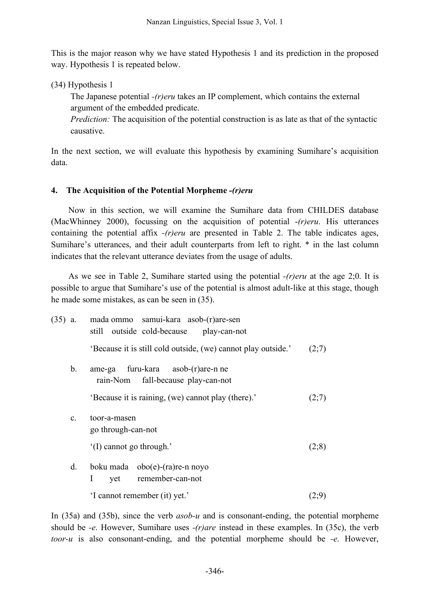This is the major reason why we have stated Hypothesis 1 and its prediction in the proposed way. Hypothesis 1 is repeated below.

(34) Hypothesis 1

The Japanese potential *-(r)eru* takes an IP complement, which contains the external argument of the embedded predicate.

*Prediction:* The acquisition of the potential construction is as late as that of the syntactic causative.

In the next section, we will evaluate this hypothesis by examining Sumihare's acquisition data.

## **4. The Acquisition of the Potential Morpheme** *-(r)eru*

Now in this section, we will examine the Sumihare data from CHILDES database (MacWhinney 2000), focussing on the acquisition of potential -*(r)eru*. His utterances containing the potential affix *-(r)eru* are presented in Table 2. The table indicates ages, Sumihare's utterances, and their adult counterparts from left to right. \* in the last column indicates that the relevant utterance deviates from the usage of adults.

As we see in Table 2, Sumihare started using the potential *-(r)eru* at the age 2;0. It is possible to argue that Sumihare's use of the potential is almost adult-like at this stage, though he made some mistakes, as can be seen in (35).

| $(35)$ a.      | mada ommo samui-kara asob-(r)are-sen<br>still outside cold-because play-can-not |       |
|----------------|---------------------------------------------------------------------------------|-------|
|                | 'Because it is still cold outside, (we) cannot play outside.'                   | (2;7) |
| b.             | ame-ga furu-kara asob-(r)are-n ne<br>rain-Nom fall-because play-can-not         |       |
|                | 'Because it is raining, (we) cannot play (there).'                              | (2;7) |
| $\mathbf{c}$ . | toor-a-masen<br>go through-can-not                                              |       |
|                | '(I) cannot go through.'                                                        | (2;8) |
| d.             | boku mada $obo(e)$ -(ra)re-n noyo<br>yet remember-can-not<br>Ι                  |       |
|                | 'I cannot remember (it) yet.'                                                   |       |

In (35a) and (35b), since the verb *asob-u* and is consonant-ending, the potential morpheme should be *-e*. However, Sumihare uses *-(r)are* instead in these examples. In (35c), the verb *toor-u* is also consonant-ending, and the potential morpheme should be *-e*. However,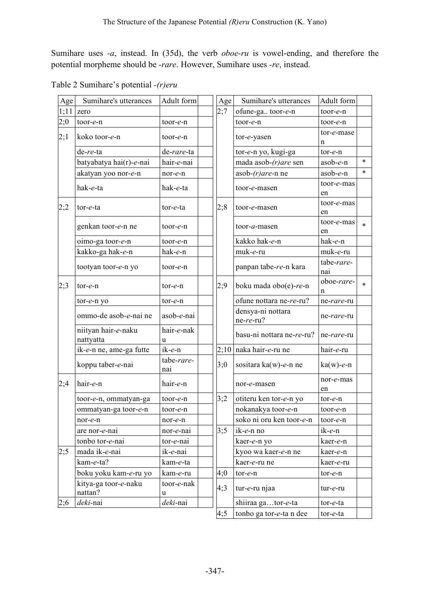Sumihare uses *-a*, instead. In (35d), the verb *oboe-ru* is vowel-ending, and therefore the potential morpheme should be *-rare*. However, Sumihare uses *-re*, instead.

| Age  | Sumihare's utterances             | Adult form        | Age  | Sumihare's utterances          | Adult form        |        |
|------|-----------------------------------|-------------------|------|--------------------------------|-------------------|--------|
| 1;11 | zero                              |                   | 2:7  | ofune-ga toor-e-n              | toor-e-n          |        |
| 2;0  | toor-e-n                          | toor-e-n          |      | toor-e-n                       | $tor-e-n$         |        |
| 2;1  | koko toor-e-n                     | toor-e-n          |      | tor-e-yasen                    | tor-e-mase<br>n   |        |
|      | de-re-ta                          | de-rare-ta        |      | tor-e-n yo, kugi-ga            | tor-e-n           |        |
|      | batyabatya hai(r)-e-nai           | hair-e-nai        |      | mada asob- $(r)$ are sen       | asob-e-n          | $\ast$ |
|      | akatyan yoo nor-e-n               | nor-e-n           |      | asob- $(r)$ are-n ne           | $asob-e-n$        | $\ast$ |
|      | hak-e-ta                          | hak-e-ta          |      | toor-e-masen                   | toor-e-mas<br>en  |        |
| 2;2  | tor-e-ta<br>tor-e-ta              |                   | 2;8  | toor-e-masen                   | toor-e-mas<br>en  |        |
|      | genkan toor-e-n ne                | toor-e-n          |      | toor- <i>a</i> -masen          | toor-e-mas<br>en  | $\ast$ |
|      | oimo-ga toor-e-n                  | toor-e-n          |      | kakko hak-e-n                  | hak-e-n           |        |
|      | kakko-ga hak-e-n                  | hak-e-n           |      | muk-e-ru                       | muk-e-ru          |        |
|      | tootyan toor-e-n yo               | toor-e-n          |      | panpan tabe-re-n kara          | tabe-rare-<br>nai |        |
| 2;3  | tor-e-n<br>tor-e-n                |                   | 2;9  | boku mada obo(e)-re-n          | oboe-rare-<br>n   | $\ast$ |
|      | tor-e-n yo                        | tor-e-n           |      | ofune nottara ne-re-ru?        | ne-rare-ru        |        |
|      | ommo-de asob-e-nai ne             | asob-e-nai        |      | densya-ni nottara<br>ne-re-ru? | ne-rare-ru        |        |
|      | niityan hair-e-naku<br>nattyatta  | hair-e-nak<br>u   |      | basu-ni nottara ne-re-ru?      | ne-rare-ru        |        |
|      | ik-e-n ne, ame-ga futte           | ik-e-n            | 2;10 | naka hair-e-ru ne              | hair-e-ru         |        |
|      | koppu taber-e-nai                 | tabe-rare-<br>nai | 3:0  | sositara ka(w)-e-n ne          | $ka(w)$ -e-n      |        |
| 2;4  | hair-e-n                          | hair-e-n          |      | nor-e-masen                    | nor-e-mas<br>en   |        |
|      | toor-e-n, ommatyan-ga<br>toor-e-n |                   | 3;2  | otiteru ken tor-e-n yo         | tor-e-n           |        |
|      | ommatyan-ga toor-e-n              | toor-e-n          |      | nokanakya toor-e-n             | toor-e-n          |        |
|      | nor-e-n<br>nor-e-n                |                   |      | soko ni oru ken toor-e-n       | toor-e-n          |        |
|      | are nor-e-nai<br>nor-e-nai        |                   | 3:5  | $ik-e-n$ no                    | ik-e-n            |        |
|      | tonbo tor-e-nai<br>tor-e-nai      |                   |      | kaer-e-n yo                    | kaer-e-n          |        |
| 2;5  | mada ik-e-nai<br>ik-e-nai         |                   |      | kyoo wa kaer-e-n ne            | kaer-e-n          |        |
|      | kam-e-ta?                         | kam-e-ta          |      | kaer-e-ru ne                   | kaer-e-ru         |        |
|      | boku yoku kam-e-ru yo             | kam-e-ru          | 4;0  | tor-e-n                        | tor-e-n           |        |
|      | kitya-ga toor-e-naku<br>nattan?   | toor-e-nak<br>u   | 4:3  | tur-e-ru njaa                  | tur-e-ru          |        |
| 2;6  | deki-nai                          | deki-nai          |      | shiiraa gator-e-ta             | tor-e-ta          |        |
|      |                                   |                   | 4;5  | tonbo ga tor-e-ta n dee        | tor-e-ta          |        |

Table 2 Sumihare's potential *-(r)eru*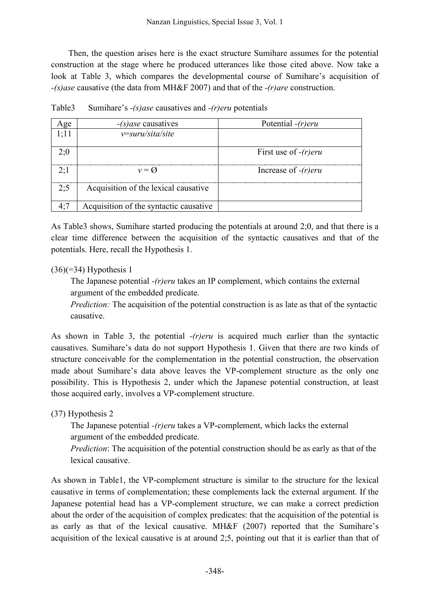Then, the question arises here is the exact structure Sumihare assumes for the potential construction at the stage where he produced utterances like those cited above. Now take a look at Table 3, which compares the developmental course of Sumihare's acquisition of *-(s)ase* causative (the data from MH&F 2007) and that of the *-(r)are* construction.

| Age  | $-(s)$ ase causatives                         | Potential $-(r)$ eru    |
|------|-----------------------------------------------|-------------------------|
| 1;11 | $v = \frac{suru}{s}$ <i>ita</i> /s <i>ite</i> |                         |
| 2:0  |                                               | First use of $-(r)$ eru |
| 2:1  | $v = \varnothing$                             | Increase of $-(r)$ eru  |
| 2:5  | Acquisition of the lexical causative          |                         |
| 4:7  | Acquisition of the syntactic causative        |                         |

Table3 Sumihare's *-(s)ase* causatives and *-(r)eru* potentials

As Table3 shows, Sumihare started producing the potentials at around 2;0, and that there is a clear time difference between the acquisition of the syntactic causatives and that of the potentials. Here, recall the Hypothesis 1.

### $(36)(=34)$  Hypothesis 1

The Japanese potential *-(r)eru* takes an IP complement, which contains the external argument of the embedded predicate.

*Prediction:* The acquisition of the potential construction is as late as that of the syntactic causative.

As shown in Table 3, the potential *-(r)eru* is acquired much earlier than the syntactic causatives. Sumihare's data do not support Hypothesis 1. Given that there are two kinds of structure conceivable for the complementation in the potential construction, the observation made about Sumihare's data above leaves the VP-complement structure as the only one possibility. This is Hypothesis 2, under which the Japanese potential construction, at least those acquired early, involves a VP-complement structure.

(37) Hypothesis 2

The Japanese potential *-(r)eru* takes a VP-complement, which lacks the external argument of the embedded predicate.

*Prediction*: The acquisition of the potential construction should be as early as that of the lexical causative.

As shown in Table1, the VP-complement structure is similar to the structure for the lexical causative in terms of complementation; these complements lack the external argument. If the Japanese potential head has a VP-complement structure, we can make a correct prediction about the order of the acquisition of complex predicates: that the acquisition of the potential is as early as that of the lexical causative. MH&F (2007) reported that the Sumihare's acquisition of the lexical causative is at around 2;5, pointing out that it is earlier than that of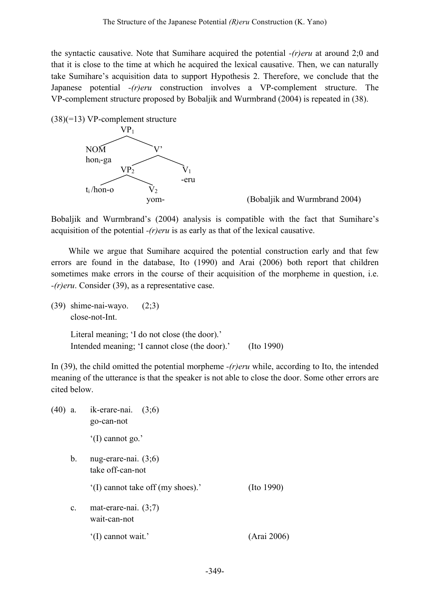the syntactic causative. Note that Sumihare acquired the potential *-(r)eru* at around 2;0 and that it is close to the time at which he acquired the lexical causative. Then, we can naturally take Sumihare's acquisition data to support Hypothesis 2. Therefore, we conclude that the Japanese potential *-(r)eru* construction involves a VP-complement structure. The VP-complement structure proposed by Bobaljik and Wurmbrand (2004) is repeated in (38).

(38)(=13) VP-complement structure



yom- (Bobaljik and Wurmbrand 2004)

Bobaljik and Wurmbrand's (2004) analysis is compatible with the fact that Sumihare's acquisition of the potential *-(r)eru* is as early as that of the lexical causative.

While we argue that Sumihare acquired the potential construction early and that few errors are found in the database, Ito (1990) and Arai (2006) both report that children sometimes make errors in the course of their acquisition of the morpheme in question, i.e. *-(r)eru*. Consider (39), as a representative case.

(39) shime-nai-wayo. (2;3) close-not-Int.

> Literal meaning; 'I do not close (the door).' Intended meaning; 'I cannot close (the door).' (Ito 1990)

In (39), the child omitted the potential morpheme *-(r)eru* while, according to Ito, the intended meaning of the utterance is that the speaker is not able to close the door. Some other errors are cited below.

|                | $(40)$ a. ik-erare-nai. $(3,6)$<br>go-can-not |                  |
|----------------|-----------------------------------------------|------------------|
|                | $^{\circ}$ (I) cannot go.'                    |                  |
| b.             | nug-erare-nai. $(3,6)$<br>take off-can-not    |                  |
|                | (I) cannot take off (my shoes).               | $($ Ito 1990 $)$ |
| $\mathbf{c}$ . | mat-erare-nai. $(3,7)$<br>wait-can-not        |                  |
|                | (I) cannot wait.'                             | (Arai 2006)      |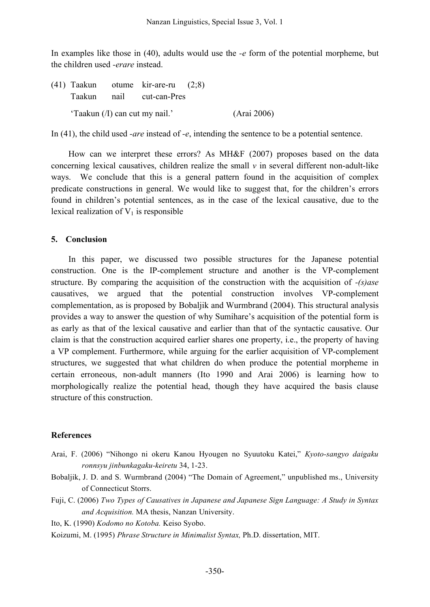In examples like those in (40), adults would use the *-e* form of the potential morpheme, but the children used *-erare* instead.

|                                |  | $(41)$ Taakun otume kir-are-ru $(2,8)$ |             |
|--------------------------------|--|----------------------------------------|-------------|
|                                |  | Taakun nail cut-can-Pres               |             |
| 'Taakun (/I) can cut my nail.' |  |                                        | (Arai 2006) |

In (41), the child used *-are* instead of *-e*, intending the sentence to be a potential sentence.

How can we interpret these errors? As MH&F (2007) proposes based on the data concerning lexical causatives, children realize the small  $\nu$  in several different non-adult-like ways. We conclude that this is a general pattern found in the acquisition of complex predicate constructions in general. We would like to suggest that, for the children's errors found in children's potential sentences, as in the case of the lexical causative, due to the lexical realization of  $V_1$  is responsible

### **5. Conclusion**

In this paper, we discussed two possible structures for the Japanese potential construction. One is the IP-complement structure and another is the VP-complement structure. By comparing the acquisition of the construction with the acquisition of *-(s)ase* causatives, we argued that the potential construction involves VP-complement complementation, as is proposed by Bobaljik and Wurmbrand (2004). This structural analysis provides a way to answer the question of why Sumihare's acquisition of the potential form is as early as that of the lexical causative and earlier than that of the syntactic causative. Our claim is that the construction acquired earlier shares one property, i.e., the property of having a VP complement. Furthermore, while arguing for the earlier acquisition of VP-complement structures, we suggested that what children do when produce the potential morpheme in certain erroneous, non-adult manners (Ito 1990 and Arai 2006) is learning how to morphologically realize the potential head, though they have acquired the basis clause structure of this construction.

### **References**

- Arai, F. (2006) "Nihongo ni okeru Kanou Hyougen no Syuutoku Katei," *Kyoto-sangyo daigaku ronnsyu jinbunkagaku-keiretu* 34, 1-23.
- Bobaljik, J. D. and S. Wurmbrand (2004) "The Domain of Agreement," unpublished ms., University of Connecticut Storrs.
- Fuji, C. (2006) *Two Types of Causatives in Japanese and Japanese Sign Language: A Study in Syntax and Acquisition.* MA thesis, Nanzan University.

Ito, K. (1990) *Kodomo no Kotoba.* Keiso Syobo.

Koizumi, M. (1995) *Phrase Structure in Minimalist Syntax,* Ph.D. dissertation, MIT.